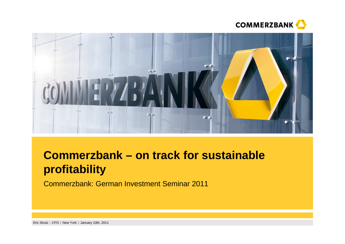



# **Commerzbank – on track for sustainable profitability**

Commerzbank: German Investment Seminar 2011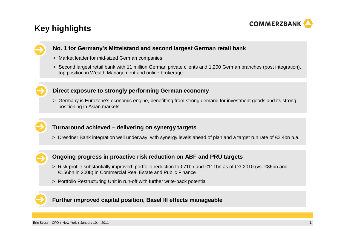

## **Key highlights**

#### **No. 1 for Germany's Mittelstand and second largest German retail bank**

- > Market leader for mid-sized German companies
- > Second largest retail bank with 11 million German private clients and 1,200 German branches (post integration), top position in Wealth Management and online brokerage



#### **Direct exposure to strongly performing German economy**

> Germany is Eurozone's economic engine, benefitting from strong demand for investment goods and its strong positioning in Asian markets

## **Turnaround achieved – delivering on synergy targets**

> Dresdner Bank integration well underway, with synergy levels ahead of plan and a target run rate of €2.4bn p.a.



## **Ongoing progress in proactive risk reduction on ABF and PRU targets**

- > Risk profile substantially improved: portfolio reduction to €71bn and €111bn as of Q3 2010 (vs. €86bnand €156bn in 2008) in Commercial Real Estate and Public Finance
- > Portfolio Restructuring Unit in run-off with further write-back potential



## **Further improved capital position, Basel III effects manageable**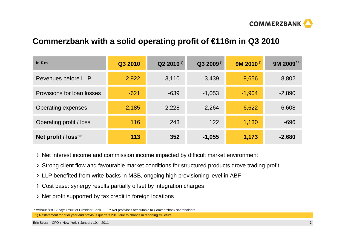

## **Commerzbank with a solid operating profit of €116m in Q3 2010**

| In $\notin$ m              | Q3 2010 | Q2 2010 <sup>1)</sup> | $Q32009^{1}$ | $9M$ 2010 <sup>1)</sup> | $9M$ 2009 <sup>*1)</sup> |
|----------------------------|---------|-----------------------|--------------|-------------------------|--------------------------|
| Revenues before LLP        | 2,922   | 3,110                 | 3,439        | 9,656                   | 8,802                    |
| Provisions for loan losses | $-621$  | $-639$                | $-1,053$     | $-1,904$                | $-2,890$                 |
| Operating expenses         | 2,185   | 2,228                 | 2,264        | 6,622                   | 6,608                    |
| Operating profit / loss    | 116     | 243                   | 122          | 1,130                   | $-696$                   |
| Net profit / loss**        | 113     | 352                   | $-1,055$     | 1,173                   | $-2,680$                 |

Net interest income and commission income impacted by difficult market environment

- Strong client flow and favourable market conditions for structured products drove trading profit
- LLP benefited from write-backs in MSB, ongoing high provisioning level in ABF
- Cost base: synergy results partially offset by integration charges
- > Net profit supported by tax credit in foreign locations

<sup>\*</sup> without first 12 days result of Dresdner Bank \*\* Net profit/loss attributable to Commerzbank shareholders1) Restatement for prior year and previous quarters 2010 due to change in reporting structure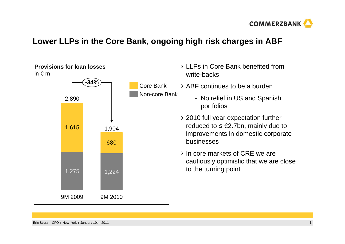

## **Lower LLPs in the Core Bank, ongoing high risk charges in ABF**

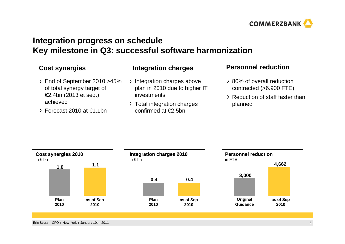

## **Integration progress on scheduleKey milestone in Q3: successful software harmonization**

## **Cost synergies Personnel reductionIntegration charges**

- End of September 2010 >45% of total synergy target of €2.4bn (2013 et seq.) achieved
- $\rightarrow$  Forecast 2010 at  $\in$ 1.1bn
- Integration charges above plan in 2010 due to higher IT investments
- > Total integration charges confirmed at €2.5bn

- 80% of overall reduction contracted (>6.900 FTE)
- Reduction of staff faster than planned

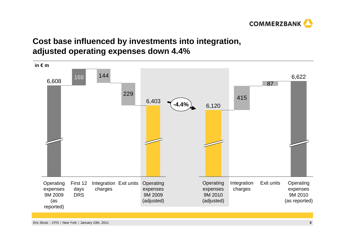

## **Cost base influenced by investments into integration,adjusted operating expenses down 4.4%**

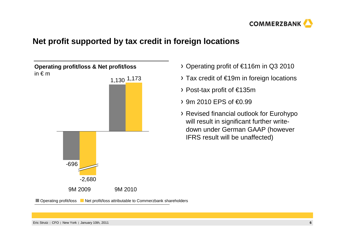

## **Net profit supported by tax credit in foreign locations**



- Operating profit of €116m in Q3 2010
- Tax credit of €19m in foreign locations
- Post-tax profit of €135m
- 9m 2010 EPS of €0.99
- Revised financial outlook for Eurohypowill result in significant further writedown under German GAAP (however IFRS result will be unaffected)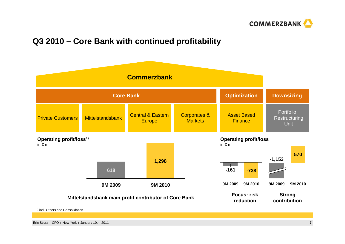

## **Q3 2010 – Core Bank with continued profitability**

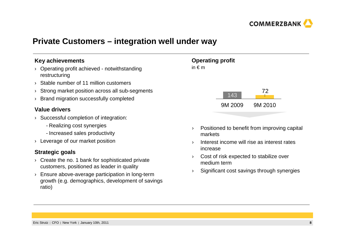

## **Private Customers – integration well under way**

#### **Key achievements**

- › Operating profit achieved notwithstanding restructuring
- › Stable number of 11 million customers
- ›Strong market position across all sub-segments
- ›Brand migration successfully completed

#### **Value drivers**

- › Successful completion of integration:
	- Realizing cost synergies
	- Increased sales productivity
- › Leverage of our market position

## **Strategic goals**

- $\rightarrow$  Create the no. 1 bank for sophisticated private customers, positioned as leader in quality
- › Ensure above-average participation in long-term growth (e.g. demographics, development of savings ratio)





- › Positioned to benefit from improving capital markets
- › Interest income will rise as interest rates increase
- Cost of risk expected to stabilize over ›medium term
- Significant cost savings through synergies›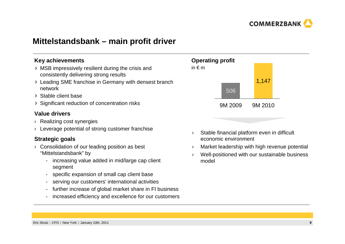

## **Mittelstandsbank – main profit driver**

#### **Key achievements**

- MSB impressively resilient during the crisis and consistently delivering strong results
- Leading SME franchise in Germany with densest branch network
- Stable client base
- Significant reduction of concentration risks

#### **Value drivers**

- › Realizing cost synergies
- Leverage potential of strong customer franchise›

#### **Strategic goals**

- › Consolidation of our leading position as best "Mittelstandsbank" by
	- increasing value added in mid/large cap client segment
	- specific expansion of small cap client base
	- serving our customers' international activities
	- further increase of global market share in FI business
	- increased efficiency and excellence for our customers



- › Stable financial platform even in difficult economic environment
- ›Market leadership with high revenue potential
- › Well-positioned with our sustainable business model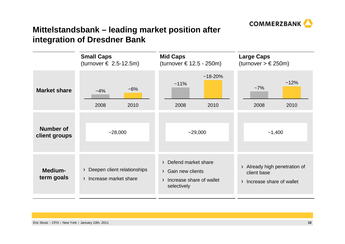

## **Mittelstandsbank – leading market position after integration of Dresdner Bank**

|                                   | <b>Small Caps</b>                                        | <b>Mid Caps</b>                                                                                         | <b>Large Caps</b>                                                          |  |  |
|-----------------------------------|----------------------------------------------------------|---------------------------------------------------------------------------------------------------------|----------------------------------------------------------------------------|--|--|
|                                   | (turnover $\in$ 2.5-12.5m)                               | (turnover $\in$ 12.5 - 250m)                                                                            | (turnover $> \text{ } \in 250 \text{m}$ )                                  |  |  |
| <b>Market share</b>               | $~16\%$                                                  | $~18 - 20%$                                                                                             | $~12\%$                                                                    |  |  |
|                                   | $-4%$                                                    | $~11\%$                                                                                                 | $-7%$                                                                      |  |  |
|                                   | 2008                                                     | 2008                                                                                                    | 2008                                                                       |  |  |
|                                   | 2010                                                     | 2010                                                                                                    | 2010                                                                       |  |  |
| <b>Number of</b><br>client groups | ~28,000                                                  | $-29,000$                                                                                               | ~1,400                                                                     |  |  |
| Medium-<br>term goals             | > Deepen client relationships<br>> Increase market share | > Defend market share<br>> Gain new clients<br>Increase share of wallet<br>$\rightarrow$<br>selectively | > Already high penetration of<br>client base<br>> Increase share of wallet |  |  |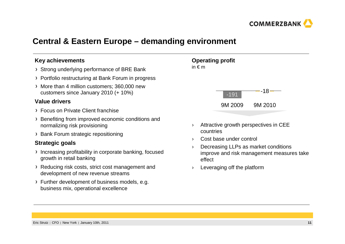

## **Central & Eastern Europe – demanding environment**

#### **Key achievements**

- > Strong underlying performance of BRE Bank
- Portfolio restructuring at Bank Forum in progress
- More than 4 million customers; 360,000 new customers since January 2010 (+ 10%)

#### **Value drivers**

- Focus on Private Client franchise
- Benefiting from improved economic conditions and normalizing risk provisioning
- Bank Forum strategic repositioning

#### **Strategic goals**

- Increasing profitability in corporate banking, focused growth in retail banking
- Reducing risk costs, strict cost management and development of new revenue streams
- Further development of business models, e.g. business mix, operational excellence



- › Attractive growth perspectives in CEE countries
- ›Cost base under control

**Operating profit**

in € <sup>m</sup>

- › Decreasing LLPs as market conditions improve and risk management measures take effect
- ›Leveraging off the platform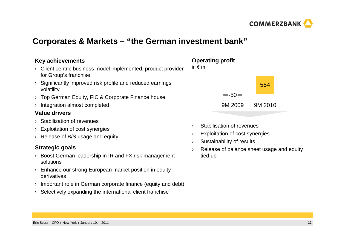

## **Corporates & Markets – "the German investment bank"**

#### **Key achievements**

- › Client centric business model implemented, product provider for Group's franchise
- › Significantly improved risk profile and reduced earnings volatility
- $\rightarrow$  Top German Equity, FIC & Corporate Finance house
- › Integration almost completed

### **Value drivers**

- › Stabilization of revenues
- ›Exploitation of cost synergies
- › Release of B/S usage and equity

#### **Strategic goals**

- › Boost German leadership in IR and FX risk management solutions
- › Enhance our strong European market position in equity derivatives
- ›Important role in German corporate finance (equity and debt)
- $\rightarrow$  Selectively expanding the international client franchise



›Stabilisation of revenues

**Operating profit**

- ›Exploitation of cost synergies
- ›Sustainability of results
- › Release of balance sheet usage and equity tied up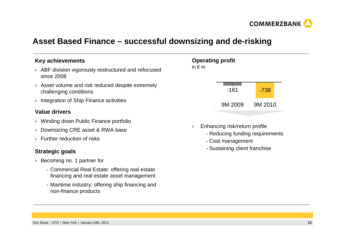

## **Asset Based Finance – successful downsizing and de-risking**

#### **Key achievements**

- $\rightarrow$  ABF division vigorously restructured and refocused since 2008
- › Asset volume and risk reduced despite extremely challenging conditions
- $\rightarrow$  Integration of Ship Finance activities

### **Value drivers**

- › Winding down Public Finance portfolio
- ›Downsizing CRE asset & RWA base
- $\rightarrow$  Further reduction of risks

## **Strategic goals**

- › Becoming no. 1 partner for
	- Commercial Real Estate: offering real estate financing and real estate asset management
	- Maritime industry: offering ship financing and non-finance products



›Enhancing risk/return profile

**Operating profit** 

in  $\notin$  m

- Reducing funding requirements
- Cost management
- Sustaining client franchise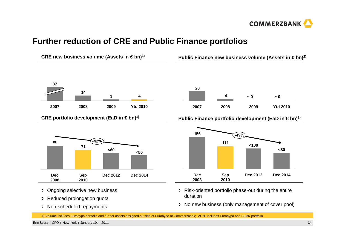

## **Further reduction of CRE and Public Finance portfolios**



1) Volume includes Eurohypo portfolio and further assets assigned outside of Eurohypo at Commerzbank; 2) PF includes Eurohypo and EEPK portfolio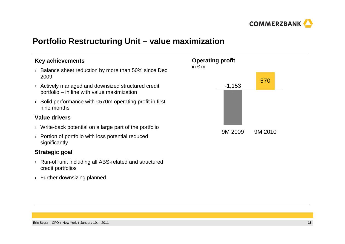

## **Portfolio Restructuring Unit – value maximization**

#### **Key achievements**

- › Balance sheet reduction by more than 50% since Dec2009
- › Actively managed and downsized structured credit portfolio – in line with value maximization
- › Solid performance with €570m operating profit in first nine months

#### **Value drivers**

- › Write-back potential on a large part of the portfolio
- › Portion of portfolio with loss potential reduced significantly

#### **Strategic goal**

- › Run-off unit including all ABS-related and structured credit portfolios
- › Further downsizing planned

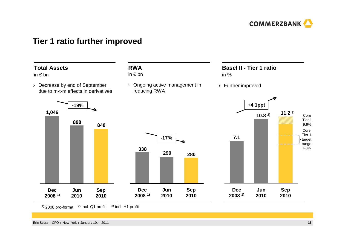

## **Tier 1 ratio further improved**



<sup>&</sup>lt;sup>1)</sup> 2008 pro-forma  $2)$  incl. Q1 profit <sup>3)</sup> incl. H1 profit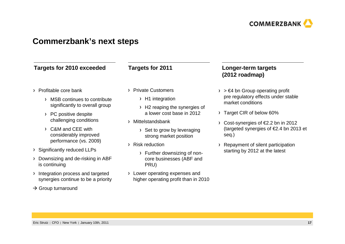

## **Commerzbank's next steps**

## **Targets for 2010 exceeded**

- Profitable core bank
	- MSB continues to contribute significantly to overall group
	- > PC positive despite challenging conditions
	- C&M and CEE with considerably improved performance (vs. 2009)
- > Significantly reduced LLPs
- > Downsizing and de-risking in ABF is continuing
- Integration process and targeted synergies continue to be a priority
- $\rightarrow$  Group turnaround

#### **Targets for 2011**

- Private Customers
	- H1 integration
	- > H2 reaping the synergies of a lower cost base in 2012
- Mittelstandsbank
	- > Set to grow by leveraging strong market position
- Risk reduction
	- Further downsizing of noncore businesses (ABF and PRU)
- Lower operating expenses and higher operating profit than in 2010

## **Longer-term targets (2012 roadmap)**

- $\rightarrow$  >  $\in$ 4 bn Group operating profit pre regulatory effects under stable market conditions
- > Target CIR of below 60%
- Cost-synergies of €2.2 bn in 2012 (targeted synergies of €2.4 bn 2013 et seq.)
- Repayment of silent participation starting by 2012 at the latest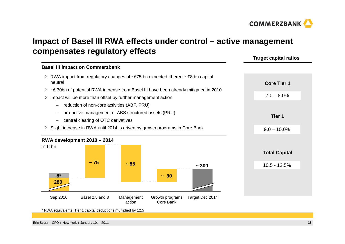

## **Impact of Basel III RWA effects under control – active managementcompensates regulatory effects**



\* RWA equivalents: Tier 1 capital deductions multiplied by 12.5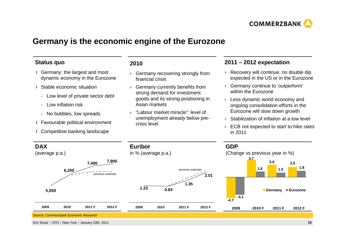

## **Germany is the economic engine of the Eurozone**

#### **Status quo**

- Germany: the largest and most dynamic economy in the Eurozone
- Stable economic situation
	- Low level of private sector debt
	- Low inflation risk
	- No bubbles, low spreads
- Favourable political environment
- Competitive banking landscape

#### **2010**

- › Germany recovering strongly from financial crisis
- › Germany currently benefits from strong demand for investment goods and its strong positioning in Asian markets
- › "Labour market miracle": level of unemployment already below precrisis level

#### **2011 – 2012 expectation**

- › Recovery will continue, no double dip expected in the US or in the Eurozone
- › Germany continue to 'outperform' within the Eurozone
- › Less dynamic world economy and ongoing consolidation efforts in the Eurozone will slow down growth
- $\rightarrow$  Stabilization of inflation at a low level
- › ECB not expected to start to hike rates in 2011

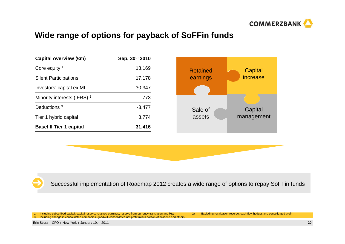

## **Wide range of options for payback of SoFFin funds**

| Capital overview (€m)                  | Sep, 30th 2010 |                 |            |
|----------------------------------------|----------------|-----------------|------------|
| Core equity $1$                        | 13,169         | <b>Retained</b> | Capital    |
| <b>Silent Participations</b>           | 17,178         | earnings        | increase   |
| Investors' capital ex MI               | 30,347         |                 |            |
| Minority interests (IFRS) <sup>2</sup> | 773            |                 |            |
| Deductions <sup>3</sup>                | $-3,477$       | Sale of         | Capital    |
| Tier 1 hybrid capital                  | 3,774          | assets          | management |
| <b>Basel II Tier 1 capital</b>         | 31,416         |                 |            |

Successful implementation of Roadmap 2012 creates a wide range of options to repay SoFFin funds

1) Including subscribed capital, capital reserve, retained earnings, reserve from currency translation and P&L 2) Excluding revaluation reserve, cash flow hedges and consolidated profit 3) Including change in consolidated companies, goodwill, consolidated net profit minus portion of dividend and others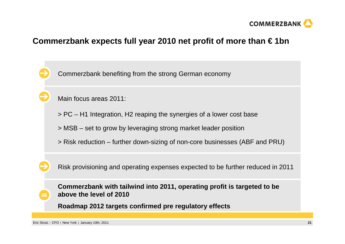

## **Commerzbank expects full year 2010 net profit of more than € 1bn**

Commerzbank benefiting from the strong German economy

Main focus areas 2011:

> PC – H1 Integration, H2 reaping the synergies of a lower cost base

> MSB – set to grow by leveraging strong market leader position

> Risk reduction – further down-sizing of non-core businesses (ABF and PRU)

Risk provisioning and operating expenses expected to be further reduced in 2011

**Commerzbank with tailwind into 2011, operating profit is targeted to be above the level of 2010**

**Roadmap 2012 targets confirmed pre regulatory effects**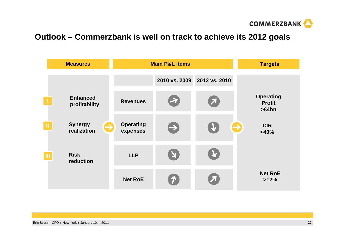

## **Outlook – Commerzbank is well on track to achieve its 2012 goals**

|              | <b>Measures</b>                  |                              | <b>Main P&amp;L items</b> |                 | <b>Targets</b>                                    |
|--------------|----------------------------------|------------------------------|---------------------------|-----------------|---------------------------------------------------|
|              |                                  |                              | 2010 vs. 2009             | 2012 vs. 2010   |                                                   |
|              | <b>Enhanced</b><br>profitability | <b>Revenues</b>              | $\rightarrow$             | ${\mathcal{F}}$ | <b>Operating</b><br><b>Profit</b><br>$> \in 4$ bn |
| $\mathbf{I}$ | <b>Synergy</b><br>realization    | <b>Operating</b><br>expenses | $\bigoplus$               | J               | $\rightarrow$<br><b>CIR</b><br>$<$ 40%            |
| Ш            | <b>Risk</b><br>reduction         | <b>LLP</b>                   | AT                        |                 |                                                   |
|              |                                  | <b>Net RoE</b>               | $\boldsymbol{\tau}$       |                 | <b>Net RoE</b><br>>12%                            |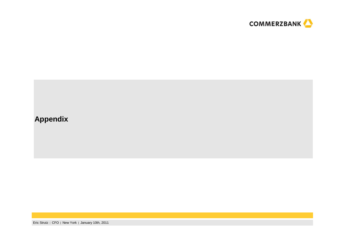

# **Appendix**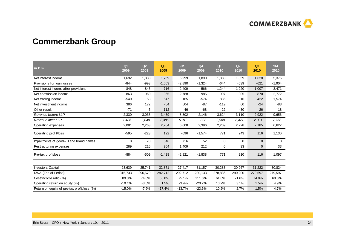

## **Commerzbank Group**

| in $\epsilon$ m                             | Q <sub>1</sub><br>2009 | Q2<br>2009 | Q <sub>3</sub><br>2009 | <b>9M</b><br>2009 | Q <sub>4</sub><br>2009 | Q <sub>1</sub><br>2010 | Q <sub>2</sub><br>2010 | Q <sub>3</sub><br>2010 | <b>9M</b><br>2010 |
|---------------------------------------------|------------------------|------------|------------------------|-------------------|------------------------|------------------------|------------------------|------------------------|-------------------|
| Net interest income                         | 1,692                  | 1,838      | 1,769                  | 5,299             | 1,890                  | 1,888                  | 1,859                  | 1,628                  | 5,375             |
| Provisions for loan losses                  | $-844$                 | $-993$     | $-1,053$               | $-2,890$          | $-1,324$               | $-644$                 | $-639$                 | $-621$                 | $-1,904$          |
| Net interest income after provisions        | 848                    | 845        | 716                    | 2,409             | 566                    | 1,244                  | 1,220                  | 1,007                  | 3,471             |
| Net commission income                       | 863                    | 960        | 965                    | 2,788             | 985                    | 997                    | 905                    | 870                    | 2,772             |
| Net trading income                          | $-540$                 | 58         | 647                    | 165               | $-574$                 | 836                    | 316                    | 422                    | 1,574             |
| Net investment income                       | 386                    | 172        | $-54$                  | 504               | $-87$                  | $-119$                 | 60                     | $-24$                  | $-83$             |
| Other result                                | $-71$                  | 5          | 112                    | 46                | $-68$                  | 22                     | $-30$                  | 26                     | 18                |
| Revenue before LLP                          | 2,330                  | 3,033      | 3,439                  | 8,802             | 2,146                  | 3,624                  | 3,110                  | 2,922                  | 9,656             |
| Revenue after LLP                           | 1,486                  | 2,040      | 2,386                  | 5,912             | 822                    | 2,980                  | 2,471                  | 2,301                  | 7,752             |
| Operating expenses                          | 2,081                  | 2,263      | 2,264                  | 6,608             | 2,396                  | 2,209                  | 2,228                  | 2,185                  | 6,622             |
| Operating profit/loss                       | $-595$                 | $-223$     | 122                    | $-696$            | $-1,574$               | 771                    | 243                    | 116                    | 1,130             |
| Impairments of goodwill and brand names     | $\Omega$               | 70         | 646                    | 716               | 52                     | $\mathbf 0$            | $\mathbf 0$            | $\mathbf{0}$           | $\mathbf 0$       |
| Restructuring expenses                      | 289                    | 216        | 904                    | 1,409             | 212                    | $\mathbf 0$            | 33                     | $\mathbf 0$            | 33                |
| Pre-tax profit/loss                         | $-884$                 | $-509$     | $-1,428$               | $-2,821$          | $-1,838$               | 771                    | 210                    | 116                    | 1,097             |
|                                             |                        |            |                        |                   |                        |                        |                        |                        |                   |
| <b>Investors Capital</b>                    | 23,639                 | 25,741     | 32,871                 | 27,417            | 31,157                 | 30,283                 | 30,967                 | 31,222                 | 30,824            |
| RWA (End of Period)                         | 315,733                | 296,579    | 292,712                | 292,712           | 280,133                | 278,886                | 290,200                | 279,597                | 279,597           |
| Cost/income ratio (%)                       | 89.3%                  | 74.6%      | 65.8%                  | 75.1%             | 111.6%                 | 61.0%                  | 71.6%                  | 74.8%                  | 68.6%             |
| Operating return on equity (%)              | $-10.1%$               | $-3.5%$    | 1.5%                   | $-3.4%$           | $-20.2%$               | 10.2%                  | 3.1%                   | 1.5%                   | 4.9%              |
| Return on equity of pre-tax profit/loss (%) | $-15.0%$               | $-7.9%$    | $-17.4%$               | $-13.7%$          | $-23.6%$               | 10.2%                  | 2.7%                   | 1.5%                   | 4.7%              |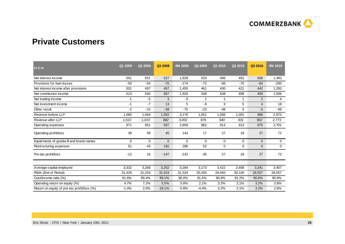

## **Private Customers**

| in $\epsilon$ m                             | Q1 2009 | Q2 2009 | Q3 2009      | 9M 2009     | Q4 2009     | Q1 2010     | Q2 2010 | Q3 2010        | 9M 2010 |
|---------------------------------------------|---------|---------|--------------|-------------|-------------|-------------|---------|----------------|---------|
| Net interest income                         | 551     | 551     | 527          | 1,629       | 533         | 496         | 491     | 506            | 1,493   |
| Provisions for loan losses                  | $-50$   | $-54$   | $-70$        | $-174$      | $-72$       | $-66$       | $-70$   | $-64$          | $-200$  |
| Net interest income after provisions        | 501     | 497     | 457          | 1,455       | 461         | 430         | 421     | 442            | 1,293   |
| Net commission income                       | 513     | 540     | 567          | 1,620       | 548         | 548         | 499     | 459            | 1,506   |
| Net trading income                          | $-1$    | $-5$    | 3            | $-3$        | 2           | 1           | 1       | $\overline{2}$ | 4       |
| Net investment income                       | $-1$    | $-7$    | 13           | 5           | -9          | 9           | 5       | $\overline{4}$ | 18      |
| Other result                                | $-2$    | $-15$   | $-58$        | $-75$       | $-23$       | $-48$       | 5       | -5             | $-48$   |
| Revenue before LLP                          | 1.060   | 1,064   | 1,052        | 3,176       | 1,051       | 1,006       | 1,001   | 966            | 2,973   |
| Revenue after LLP                           | 1,010   | 1,010   | 982          | 3,002       | 979         | 940         | 931     | 902            | 2,773   |
| Operating expenses                          | 971     | 951     | 937          | 2,859       | 962         | 913         | 913     | 875            | 2,701   |
| Operating profit/loss                       | 39      | 59      | 45           | 143         | 17          | 27          | 18      | 27             | 72      |
| Impairments of goodwill and brand names     | 0       | 0       | $\mathbf{0}$ | $\mathbf 0$ | $\mathbf 0$ | $\mathbf 0$ | 0       | $\overline{0}$ | 0       |
| Restructuring expenses                      | 51      | 43      | 192          | 286         | 52          | $\mathbf 0$ | 0       | $\overline{0}$ | 0       |
| Pre-tax profit/loss                         | $-12$   | 16      | $-147$       | $-143$      | $-35$       | 27          | 18      | 27             | 72      |
|                                             |         |         |              |             |             |             |         |                |         |
| Average capital employed                    | 3,332   | 3,268   | 3,252        | 3,284       | 3,173       | 3,422       | 3,458   | 3,341          | 3,407   |
| RWA (End of Period)                         | 31,428  | 31,253  | 31,524       | 31,524      | 30,265      | 29,450      | 30,100  | 28,557         | 28,557  |
| Cost/income ratio (%)                       | 91.6%   | 89.4%   | 89.1%        | 90.0%       | 91.5%       | 90.8%       | 91.2%   | 90.6%          | 90.9%   |
| Operating return on equity (%)              | 4.7%    | 7.2%    | 5.5%         | 5.8%        | 2.1%        | 3.2%        | 2.1%    | 3.2%           | 2.8%    |
| Return on equity of pre-tax profit/loss (%) | $-1.4%$ | 2.0%    | $-18.1%$     | $-5.8%$     | $-4.4%$     | 3.2%        | 2.1%    | 3.2%           | 2.8%    |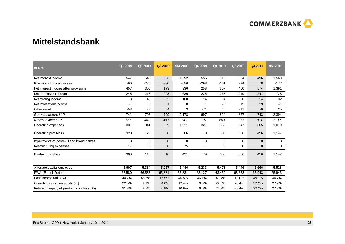

## **Mittelstandsbank**

| in $\epsilon$ m                             | Q1 2009 | Q2 2009     | Q3 2009      | 9M 2009     | Q4 2009     | Q1 2010     | Q2 2010 | Q3 2010        | 9M 2010 |
|---------------------------------------------|---------|-------------|--------------|-------------|-------------|-------------|---------|----------------|---------|
| Net interest income                         | 547     | 542         | 503          | 1,592       | 556         | 518         | 554     | 496            | 1,568   |
| Provisions for loan losses                  | $-90$   | $-236$      | $-330$       | $-656$      | $-298$      | $-161$      | $-94$   | 78             | $-177$  |
| Net interest income after provisions        | 457     | 306         | 173          | 936         | 258         | 357         | 460     | 574            | 1,391   |
| Net commission income                       | 245     | 218         | 223          | 686         | 225         | 268         | 219     | 241            | 728     |
| Net trading income                          | 3       | $-49$       | $-62$        | $-108$      | $-14$       | $-4$        | 50      | $-14$          | 32      |
| Net investment income                       | $-1$    | 0           | $\mathbf{1}$ | 0           | 1           | $-3$        | 15      | 29             | 41      |
| Other result                                | $-53$   | -8          | 64           | 3           | $-71$       | 45          | $-11$   | $-9$           | 25      |
| Revenue before LLP                          | 741     | 703         | 729          | 2,173       | 697         | 824         | 827     | 743            | 2,394   |
| Revenue after LLP                           | 651     | 467         | 399          | 1,517       | 399         | 663         | 733     | 821            | 2,217   |
| Operating expenses                          | 331     | 341         | 339          | 1,011       | 321         | 358         | 347     | 365            | 1,070   |
| Operating profit/loss                       | 320     | 126         | 60           | 506         | 78          | 305         | 386     | 456            | 1,147   |
| Impairments of goodwill and brand names     | 0       | $\mathbf 0$ | $\mathbf{0}$ | $\mathbf 0$ | $\mathbf 0$ | $\mathbf 0$ | 0       | $\overline{0}$ | 0       |
| Restructuring expenses                      | 17      | 8           | 50           | 75          | $-1$        | 0           | 0       | $\overline{0}$ | 0       |
| Pre-tax profit/loss                         | 303     | 118         | 10           | 431         | 79          | 305         | 386     | 456            | 1,147   |
|                                             |         |             |              |             |             |             |         |                |         |
| Average capital employed                    | 5,697   | 5,384       | 5,257        | 5,446       | 5,233       | 5,471       | 5,446   | 5,666          | 5,528   |
| RWA (End of Period)                         | 67,580  | 66,587      | 63,881       | 63,881      | 63,127      | 63,459      | 68,338  | 65,943         | 65,943  |
| Cost/income ratio (%)                       | 44.7%   | 48.5%       | 46.5%        | 46.5%       | 46.1%       | 43.4%       | 42.0%   | 49.1%          | 44.7%   |
| Operating return on equity (%)              | 22.5%   | 9.4%        | 4.6%         | 12.4%       | 6.0%        | 22.3%       | 28.4%   | 32.2%          | 27.7%   |
| Return on equity of pre-tax profit/loss (%) | 21.3%   | 8.8%        | 0.8%         | 10.6%       | 6.0%        | 22.3%       | 28.4%   | 32.2%          | 27.7%   |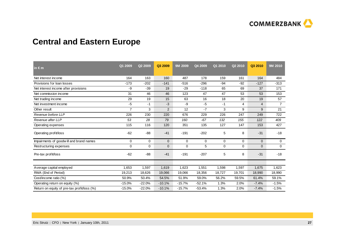

## **Central and Eastern Europe**

| in $\epsilon$ m                             | Q1 2009        | Q2 2009     | Q3 2009     | 9M 2009     | Q4 2009  | Q1 2010     | Q2 2010     | Q3 2010        | 9M 2010        |
|---------------------------------------------|----------------|-------------|-------------|-------------|----------|-------------|-------------|----------------|----------------|
| Net interest income                         | 164            | 163         | 160         | 487         | 178      | 159         | 161         | 164            | 484            |
| Provisions for loan losses                  | $-173$         | $-202$      | $-141$      | $-516$      | $-296$   | $-94$       | $-92$       | $-127$         | $-313$         |
| Net interest income after provisions        | $-9$           | $-39$       | 19          | $-29$       | $-118$   | 65          | 69          | 37             | 171            |
| Net commission income                       | 31             | 46          | 46          | 123         | 47       | 47          | 53          | 53             | 153            |
| Net trading income                          | 29             | 19          | 15          | 63          | 16       | 18          | 20          | 19             | 57             |
| Net investment income                       | $-5$           | $-1$        | $-3$        | -9          | $-5$     | $-1$        | 4           | 4              | $\overline{7}$ |
| Other result                                | $\overline{7}$ | 3           | 2           | 12          | $-7$     | 3           | 9           | 9              | 21             |
| Revenue before LLP                          | 226            | 230         | 220         | 676         | 229      | 226         | 247         | 249            | 722            |
| Revenue after LLP                           | 53             | 28          | 79          | 160         | $-67$    | 132         | 155         | 122            | 409            |
| Operating expenses                          | 115            | 116         | 120         | 351         | 135      | 127         | 147         | 153            | 427            |
| Operating profit/loss                       | $-62$          | $-88$       | $-41$       | $-191$      | $-202$   | 5           | 8           | $-31$          | $-18$          |
| Impairments of goodwill and brand names     | $\mathbf 0$    | $\mathbf 0$ | $\mathbf 0$ | $\mathbf 0$ | 0        | $\mathbf 0$ | $\mathbf 0$ | $\overline{0}$ | $\mathbf 0$    |
| Restructuring expenses                      | 0              | $\mathbf 0$ | 0           | $\mathbf 0$ | 5        | 0           | 0           | $\overline{0}$ | $\mathbf 0$    |
| Pre-tax profit/loss                         | $-62$          | $-88$       | $-41$       | $-191$      | $-207$   | 5           | 8           | $-31$          | $-18$          |
|                                             |                |             |             |             |          |             |             |                |                |
| Average capital employed                    | 1,653          | 1,597       | 1,619       | 1,623       | 1,551    | 1,598       | 1,597       | 1,675          | 1,623          |
| RWA (End of Period)                         | 19,213         | 18,626      | 19,066      | 19,066      | 18,356   | 18,727      | 19,701      | 18,990         | 18,990         |
| Cost/income ratio (%)                       | 50.9%          | 50.4%       | 54.5%       | 51.9%       | 59.0%    | 56.2%       | 59.5%       | 61.4%          | 59.1%          |
| Operating return on equity (%)              | $-15.0%$       | $-22.0%$    | $-10.1%$    | $-15.7%$    | $-52.1%$ | 1.3%        | 2.0%        | $-7.4%$        | $-1.5%$        |
| Return on equity of pre-tax profit/loss (%) | $-15.0%$       | $-22.0%$    | $-10.1%$    | $-15.7%$    | $-53.4%$ | 1.3%        | 2.0%        | $-7.4%$        | $-1.5%$        |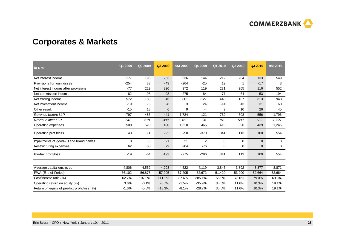

## **Corporates & Markets**

| in $\epsilon$ m                             | Q1 2009 | Q2 2009 | Q3 2009  | 9M 2009 | Q4 2009  | Q1 2010 | Q2 2010 | Q3 2010        | 9M 2010 |
|---------------------------------------------|---------|---------|----------|---------|----------|---------|---------|----------------|---------|
| Net interest income                         | 177     | 196     | 263      | 636     | 144      | 212     | 204     | 133            | 549     |
| Provisions for loan losses                  | $-254$  | 33      | $-43$    | $-264$  | $-25$    | 19      | 1       | $-17$          | 3       |
| Net interest income after provisions        | $-77$   | 229     | 220      | 372     | 119      | 231     | 205     | 116            | 552     |
| Net commission income                       | 82      | 95      | 98       | 275     | 84       | 77      | 64      | 53             | 194     |
| Net trading income                          | 572     | 183     | 46       | 801     | $-127$   | 448     | 187     | 313            | 948     |
| Net investment income                       | $-19$   | $-6$    | 28       | 3       | 24       | $-14$   | 43      | 31             | 60      |
| Other result                                | $-15$   | 18      | 6        | 9       | $-4$     | 9       | 10      | 26             | 45      |
| Revenue before LLP                          | 797     | 486     | 441      | 1,724   | 121      | 732     | 508     | 556            | 1,796   |
| Revenue after LLP                           | 543     | 519     | 398      | 1,460   | 96       | 751     | 509     | 539            | 1,799   |
| Operating expenses                          | 500     | 520     | 490      | 1,510   | 466      | 410     | 396     | 439            | 1,245   |
| Operating profit/loss                       | 43      | $-1$    | $-92$    | $-50$   | $-370$   | 341     | 113     | 100            | 554     |
| Impairments of goodwill and brand names     | 0       | 0       | 21       | 21      | 2        | 0       | 0       | $\mathbf{0}$   | 0       |
| Restructuring expenses                      | 62      | 63      | 79       | 204     | $-76$    | 0       | 0       | $\overline{0}$ | 0       |
| Pre-tax profit/loss                         | $-19$   | $-64$   | $-192$   | $-275$  | $-296$   | 341     | 113     | 100            | 554     |
|                                             |         |         |          |         |          |         |         |                |         |
| Average capital employed                    | 4.806   | 4,552   | 4,208    | 4,522   | 4,119    | 3,845   | 3,892   | 3,877          | 3,871   |
| RWA (End of Period)                         | 66,102  | 56,873  | 57,205   | 57,205  | 52,672   | 51,420  | 53,200  | 52,664         | 52,664  |
| Cost/income ratio (%)                       | 62.7%   | 107.0%  | 111.1%   | 87.6%   | 385.1%   | 56.0%   | 78.0%   | 79.0%          | 69.3%   |
| Operating return on equity (%)              | 3.6%    | $-0.1%$ | $-8.7%$  | $-1.5%$ | $-35.9%$ | 35.5%   | 11.6%   | 10.3%          | 19.1%   |
| Return on equity of pre-tax profit/loss (%) | $-1.6%$ | $-5.6%$ | $-18.3%$ | $-8.1%$ | $-28.7%$ | 35.5%   | 11.6%   | 10.3%          | 19.1%   |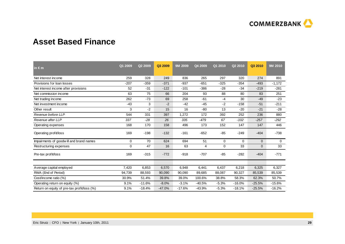

## **Asset Based Finance**

| in $\epsilon$ m                             | Q1 2009 | Q2 2009  | Q3 2009  | 9M 2009  | Q4 2009        | Q1 2010     | Q2 2010     | Q3 2010        | 9M 2010     |
|---------------------------------------------|---------|----------|----------|----------|----------------|-------------|-------------|----------------|-------------|
| Net interest income                         | 259     | 328      | 249      | 836      | 265            | 297         | 320         | 274            | 891         |
| Provisions for loan losses                  | $-207$  | $-359$   | $-371$   | $-937$   | $-651$         | $-325$      | $-354$      | $-493$         | $-1,172$    |
| Net interest income after provisions        | 52      | $-31$    | $-122$   | $-101$   | $-386$         | $-28$       | $-34$       | $-219$         | $-281$      |
| Net commission income                       | 63      | 75       | 66       | 204      | 93             | 88          | 80          | 83             | 251         |
| Net trading income                          | 262     | $-73$    | 69       | 258      | $-61$          | $-4$        | 30          | $-49$          | $-23$       |
| Net investment income                       | $-43$   | 3        | $-2$     | $-42$    | $-45$          | $-2$        | $-158$      | $-51$          | $-211$      |
| Other result                                | 3       | $-2$     | 15       | 16       | $-80$          | 13          | $-20$       | $-21$          | $-28$       |
| Revenue before LLP                          | 544     | 331      | 397      | 1,272    | 172            | 392         | 252         | 236            | 880         |
| Revenue after LLP                           | 337     | $-28$    | 26       | 335      | $-479$         | 67          | $-102$      | $-257$         | $-292$      |
| Operating expenses                          | 168     | 170      | 158      | 496      | 173            | 152         | 147         | 147            | 446         |
| Operating profit/loss                       | 169     | $-198$   | $-132$   | $-161$   | $-652$         | $-85$       | $-249$      | $-404$         | $-738$      |
| Impairments of goodwill and brand names     | 0       | 70       | 624      | 694      | 51             | 0           | $\mathbf 0$ | $\overline{0}$ | $\mathbf 0$ |
| Restructuring expenses                      | 0       | 47       | 16       | 63       | $\overline{4}$ | $\mathbf 0$ | 33          | 0              | 33          |
| Pre-tax profit/loss                         | 169     | $-315$   | $-772$   | $-918$   | $-707$         | $-85$       | $-282$      | $-404$         | $-771$      |
|                                             |         |          |          |          |                |             |             |                |             |
| Average capital employed                    | 7,420   | 6,853    | 6,570    | 6,948    | 6,441          | 6,437       | 6,218       | 6,325          | 6,327       |
| RWA (End of Period)                         | 94,739  | 88,593   | 90,090   | 90,090   | 89,685         | 88,087      | 90,327      | 85,539         | 85,539      |
| Cost/income ratio (%)                       | 30.9%   | 51.4%    | 39.8%    | 39.0%    | 100.6%         | 38.8%       | 58.3%       | 62.3%          | 50.7%       |
| Operating return on equity (%)              | 9.1%    | $-11.6%$ | $-8.0%$  | $-3.1%$  | $-40.5%$       | $-5.3%$     | $-16.0%$    | $-25.5%$       | $-15.6%$    |
| Return on equity of pre-tax profit/loss (%) | 9.1%    | $-18.4%$ | $-47.0%$ | $-17.6%$ | $-43.9%$       | $-5.3%$     | $-18.1%$    | $-25.5%$       | $-16.2%$    |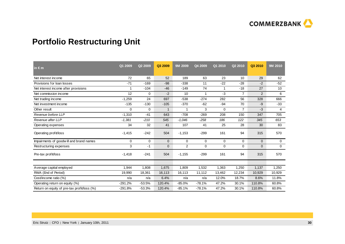

## **Portfolio Restructuring Unit**

| in $\epsilon$ m                             | Q1 2009     | Q2 2009     | Q3 2009      | 9M 2009        | Q4 2009     | Q1 2010        | Q2 2010        | Q3 2010        | 9M 2010        |
|---------------------------------------------|-------------|-------------|--------------|----------------|-------------|----------------|----------------|----------------|----------------|
| Net interest income                         | 72          | 65          | 52           | 189            | 63          | 23             | 10             | 29             | 62             |
| Provisions for loan losses                  | $-71$       | $-169$      | $-98$        | $-338$         | 11          | $-22$          | $-28$          | $-2$           | $-52$          |
| Net interest income after provisions        | 1           | $-104$      | $-46$        | $-149$         | 74          | $\overline{1}$ | $-18$          | 27             | 10             |
| Net commission income                       | 12          | 0           | $-2$         | 10             | 1           | $-3$           | $\overline{7}$ | 2              | 6              |
| Net trading income                          | $-1,259$    | 24          | 697          | $-538$         | $-274$      | 282            | 56             | 328            | 666            |
| Net investment income                       | $-135$      | $-130$      | $-105$       | $-370$         | $-62$       | $-94$          | 70             | $-9$           | $-33$          |
| Other result                                | 0           | 0           | $\mathbf{1}$ | $\mathbf 1$    | 3           | $\mathbf 0$    | $\overline{7}$ | -3             | $\overline{4}$ |
| Revenue before LLP                          | $-1,310$    | $-41$       | 643          | $-708$         | $-269$      | 208            | 150            | 347            | 705            |
| Revenue after LLP                           | $-1,381$    | $-210$      | 545          | $-1,046$       | $-258$      | 186            | 122            | 345            | 653            |
| Operating expenses                          | 34          | 32          | 41           | 107            | 41          | 25             | 28             | 30             | 83             |
| Operating profit/loss                       | $-1,415$    | $-242$      | 504          | $-1,153$       | $-299$      | 161            | 94             | 315            | 570            |
| Impairments of goodwill and brand names     | $\mathbf 0$ | $\mathbf 0$ | $\mathbf 0$  | $\mathbf 0$    | 0           | $\mathbf 0$    | $\mathbf 0$    | $\overline{0}$ | $\mathbf 0$    |
| Restructuring expenses                      | 3           | $-1$        | 0            | $\overline{2}$ | $\mathbf 0$ | 0              | 0              | $\overline{0}$ | $\mathbf 0$    |
| Pre-tax profit/loss                         | $-1,418$    | $-241$      | 504          | $-1,155$       | $-299$      | 161            | 94             | 315            | 570            |
|                                             |             |             |              |                |             |                |                |                |                |
| Average capital employed                    | 1,944       | 1,808       | 1,675        | 1,809          | 1,532       | 1,363          | 1,250          | 1,137          | 1,250          |
| RWA (End of Period)                         | 19,990      | 18,361      | 16,113       | 16,113         | 11,112      | 13,462         | 12,234         | 10,929         | 10,929         |
| Cost/income ratio (%)                       | n/a         | n/a         | 6.4%         | n/a            | n/a         | 12.0%          | 18.7%          | 8.6%           | 11.8%          |
| Operating return on equity (%)              | $-291.2%$   | $-53.5%$    | 120.4%       | $-85.0%$       | $-78.1%$    | 47.2%          | 30.1%          | 110.8%         | 60.8%          |
| Return on equity of pre-tax profit/loss (%) | $-291.8%$   | $-53.3%$    | 120.4%       | $-85.1%$       | $-78.1%$    | 47.2%          | 30.1%          | 110.8%         | 60.8%          |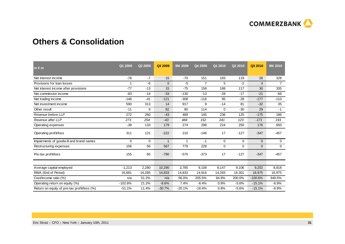

## **Others & Consolidation**

| in $\epsilon$ m                             | Q1 2009   | Q2 2009 | Q3 2009        | 9M 2009  | Q4 2009        | Q1 2010     | Q2 2010 | Q3 2010      | 9M 2010        |
|---------------------------------------------|-----------|---------|----------------|----------|----------------|-------------|---------|--------------|----------------|
| Net interest income                         | $-78$     | $-7$    | 15             | $-70$    | 151            | 183         | 119     | 26           | 328            |
| Provisions for loan losses                  | 1         | -6      | $\overline{0}$ | $-5$     | $\overline{7}$ | 5           | $-2$    | 4            | $\overline{7}$ |
| Net interest income after provisions        | $-77$     | $-13$   | 15             | $-75$    | 158            | 188         | 117     | 30           | 335            |
| Net commission income                       | $-83$     | $-14$   | $-33$          | $-130$   | $-13$          | $-28$       | $-17$   | $-21$        | $-66$          |
| Net trading income                          | $-146$    | $-41$   | $-121$         | $-308$   | $-116$         | 95          | $-28$   | $-177$       | $-110$         |
| Net investment income                       | 590       | 313     | 14             | 917      | 9              | $-14$       | 81      | $-32$        | 35             |
| Other result                                | $-11$     | 9       | 82             | 80       | 114            | $\mathbf 0$ | $-30$   | 29           | $-1$           |
| Revenue before LLP                          | 272       | 260     | $-43$          | 489      | 145            | 236         | 125     | $-175$       | 186            |
| Revenue after LLP                           | 273       | 254     | $-43$          | 484      | 152            | 241         | 123     | $-171$       | 193            |
| Operating expenses                          | $-38$     | 133     | 179            | 274      | 298            | 224         | 250     | 176          | 650            |
| Operating profit/loss                       | 311       | 121     | $-222$         | 210      | $-146$         | 17          | $-127$  | $-347$       | $-457$         |
| Impairments of goodwill and brand names     | 0         | 0       | $\mathbf{1}$   | 1        | $-1$           | 0           | 0       | $\mathbf{0}$ | 0              |
| Restructuring expenses                      | 156       | 56      | 567            | 779      | 228            | $\mathbf 0$ | 0       | 0            | $\mathbf 0$    |
| Pre-tax profit/loss                         | 155       | 65      | $-790$         | $-570$   | $-373$         | 17          | $-127$  | $-347$       | $-457$         |
|                                             |           |         |                |          |                |             |         |              |                |
| Average capital employed                    | $-1,213$  | 2,280   | 10,290         | 3,785    | 9,108          | 8,147       | 9,106   | 9,202        | 8,818          |
| RWA (End of Period)                         | 16,681    | 16,285  | 14,833         | 14,833   | 14,916         | 14,283      | 16,301  | 16,975       | 16,975         |
| Cost/income ratio (%)                       | n/a       | 51.2%   | n/a            | 56.0%    | 205.5%         | 94.9%       | 200.0%  | $-100.6%$    | 349.5%         |
| Operating return on equity (%)              | $-102.6%$ | 21.2%   | $-8.6%$        | 7.4%     | $-6.4%$        | 0.8%        | $-5.6%$ | $-15.1%$     | $-6.9%$        |
| Return on equity of pre-tax profit/loss (%) | $-51.1%$  | 11.4%   | $-30.7%$       | $-20.1%$ | $-16.4%$       | 0.8%        | $-5.6%$ | $-15.1%$     | $-6.9%$        |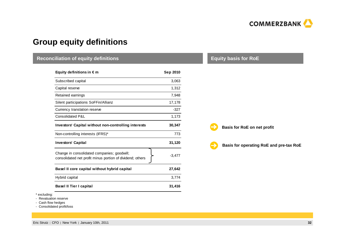

## **Group equity definitions**

#### **Reconciliation of equity definitions**

| Equity definitions in $\epsilon$ m                                                                       | <b>Sep 2010</b> |
|----------------------------------------------------------------------------------------------------------|-----------------|
| Subscribed capital                                                                                       | 3,063           |
| Capital reserve                                                                                          | 1,312           |
| Retained earnings                                                                                        | 7,948           |
| Silent participations SoFFin/Allianz                                                                     | 17,178          |
| Currency translation reserve                                                                             | $-327$          |
| Consolidated P&L                                                                                         | 1,173           |
| Investors' Capital without non-controlling interests                                                     | 30,347          |
| Non-controlling interests (IFRS)*                                                                        | 773             |
| Investors' Capital                                                                                       | 31,120          |
| Change in consolidated companies; goodwill;<br>consolidated net profit minus portion of dividend; others | -3,477          |
| Basel II core capital without hybrid capital                                                             | 27,642          |
| Hybrid capital                                                                                           | 3,774           |
| Basel II Tier I capital                                                                                  | 31,416          |

#### **Equity basis for RoE**





**Basis for operating RoE and pre-tax RoE**

\* excluding:

- Revaluation reserve

- Cash flow hedges

- Consolidated profit/loss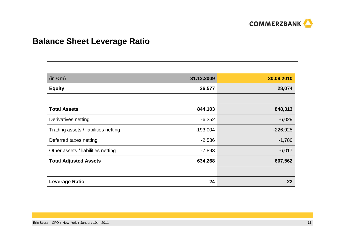

## **Balance Sheet Leverage Ratio**

| $(in \in m)$                         | 31.12.2009 | 30.09.2010 |
|--------------------------------------|------------|------------|
| <b>Equity</b>                        | 26,577     | 28,074     |
|                                      |            |            |
| <b>Total Assets</b>                  | 844,103    | 848,313    |
| Derivatives netting                  | $-6,352$   | $-6,029$   |
| Trading assets / liabilities netting | $-193,004$ | $-226,925$ |
| Deferred taxes netting               | $-2,586$   | $-1,780$   |
| Other assets / liabilities netting   | $-7,893$   | $-6,017$   |
| <b>Total Adjusted Assets</b>         | 634,268    | 607,562    |
|                                      |            |            |
| <b>Leverage Ratio</b>                | 24         | 22         |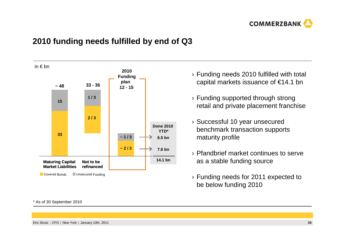

#### **Done 2010YTD\*6.5 bn7.6 bn14.1 bn~ 483315Maturing Capital Market Liabilities** $-2/3$ **Not to be refinanced 2 / 31/3Funding Fundingplanplan 12 - 15 ~ 1 / 3**Covered Bonds Unsecured Funding**33 - 36** $\begin{array}{c} \text{2010} \\ \text{Fundir} \\ \text{1/3} \end{array}$ <br>  $\begin{array}{c} \text{2010} \\ \text{Fundir} \\ \text{12 - 1!} \\ \text{1} \end{array}$ in € bn

## **2010 funding needs fulfilled by end of Q3**

\* As of 30 September 2010

- › Funding needs 2010 fulfilled with total capital markets issuance of €14.1 bn
- › Funding supported through strong retail and private placement franchise
- › Successful 10 year unsecured benchmark transaction supports maturity profile
- › Pfandbrief market continues to serve as a stable funding source
- › Funding needs for 2011 expected to be below funding 2010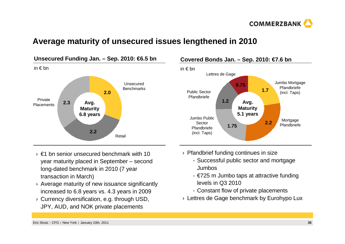

## **Average maturity of unsecured issues lengthened in 2010**





- $\rightarrow$  €1 bn senior unsecured benchmark with 10 year maturity placed in September – second long-dated benchmark in 2010 (7 year transaction in March)
- › Average maturity of new issuance significantly increased to 6.8 years vs. 4.3 years in 2009
- › Currency diversification, e.g. through USD, JPY, AUD, and NOK private placements
- › Pfandbrief funding continues in size
	- Successful public sector and mortgage Jumbos
	- €725 m Jumbo taps at attractive funding levels in Q3 2010
	- Constant flow of private placements
- › Lettres de Gage benchmark by Eurohypo Lux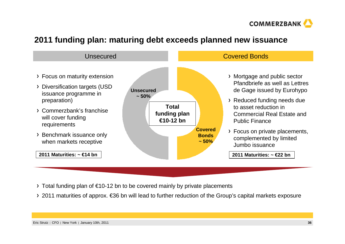



## **2011 funding plan: maturing debt exceeds planned new issuance**

- Total funding plan of €10-12 bn to be covered mainly by private placements
- 2011 maturities of approx. €36 bn will lead to further reduction of the Group's capital markets exposure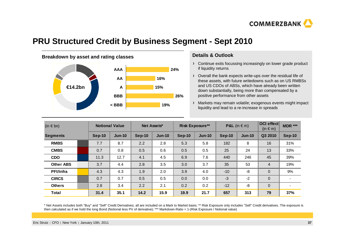

## **PRU Structured Credit by Business Segment - Sept 2010**



#### **Details & Outlook**

- Continue exits focussing increasingly on lower grade product if liquidity returns
- Overall the bank expects write-ups over the residual life of these assets, with future writedowns such as on US RMBSsand US CDOs of ABSs, which have already been written down substantially, being more than compensated by <sup>a</sup> positive performance from other assets
- Markets may remain volatile; exogenous events might impact

| (in $\notin$ bn) |  | <b>Notional Value</b> |          | Net Assets* |          | <b>Risk Exposure**</b> |          | <b>P&amp;L</b> (in $\in$ m) |          | <b>OCI</b> effect<br>$(in \in m)$ | MDR ***        |
|------------------|--|-----------------------|----------|-------------|----------|------------------------|----------|-----------------------------|----------|-----------------------------------|----------------|
| <b>Segments</b>  |  | Sep-10                | $Jun-10$ | Sep-10      | $Jun-10$ | Sep-10                 | $Jun-10$ | Sep-10                      | $Jun-10$ | Q3 2010                           | <b>Sep-10</b>  |
| <b>RMBS</b>      |  | 7.7                   | 8.7      | 2.2         | 2.8      | 5.3                    | 5.8      | 182                         | 8        | 16                                | 31%            |
| <b>CMBS</b>      |  | 0.7                   | 0.8      | 0.5         | 0.6      | 0.5                    | 0.5      | 25                          | 24       | 13                                | 33%            |
| <b>CDO</b>       |  | 11.3                  | 12.7     | 4.1         | 4.5      | 6.9                    | 7.6      | 440                         | 246      | 45                                | 39%            |
| <b>Other ABS</b> |  | 3.7                   | 4.4      | 2.8         | 3.5      | 3.0                    | 3.7      | 35                          | 53       | $\overline{4}$                    | 19%            |
| <b>PFI/Infra</b> |  | 4.3                   | 4.3      | 1.9         | 2.0      | 3.9                    | 4.0      | $-10$                       | -8       | $\mathbf 0$                       | 9%             |
| <b>CIRCS</b>     |  | 0.7                   | 0.7      | 0.5         | 0.5      | 0.0                    | 0.0      | $-3$                        | $-2$     | $\mathbf 0$                       |                |
| <b>Others</b>    |  | 2.8                   | 3.4      | 2.2         | 2.1      | 0.2                    | 0.2      | $-12$                       | -8       | $\Omega$                          | $\blacksquare$ |
| Total            |  | 31.4                  | 35.1     | 14.2        | 15.9     | 19.9                   | 21.7     | 657                         | 313      | 79                                | 37%            |

\* Net Assets includes both "Buy" and "Sell" Credit Derivatives; all are included on a Mark to Market basis; \*\* Risk Exposure only includes "Sell" Credit derivatives. The exposure is then calculated as if we hold the long Bond (Notional less PV of derivative); \*\*\* Markdown-Ratio = 1-(Risk Exposure / Notional value)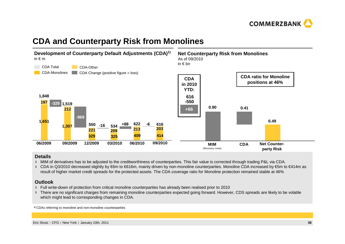

## **CDA and Counterparty Risk from Monolines**



#### **Details**

- MtM of derivatives has to be adjusted to the creditworthiness of counterparties. This fair value is corrected through trading P&L via CDA.
- CDA in Q3/2010 decreased slightly by €6m to €616m, mainly driven by non-monoline counterparties. Monoline CDA increased by €5m to €414m as result of higher market credit spreads for the protected assets. The CDA coverage ratio for Monoline protection remained stable at 46%

#### **Outlook**

- Full write-down of protection from critical monoline counterparties has already been realised prior to 2010
- There are no significant charges from remaining monoline counterparties expected going forward. However, CDS spreads are likely to be volatile which might lead to corresponding changes in CDA.

**1)** CDAs referring to monoline and non-monoline counterparties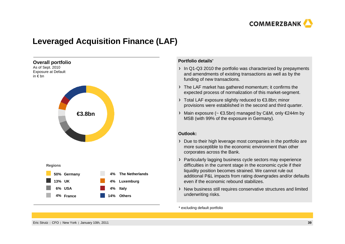

## **Leveraged Acquisition Finance (LAF)**



#### **Portfolio details\***

- In Q1-Q3 2010 the portfolio was characterized by prepayments and amendments of existing transactions as well as by the funding of new transactions.
- The LAF market has gathered momentum; it confirms the expected process of normalization of this market-segment.
- Total LAF exposure slightly reduced to €3.8bn; minor provisions were established in the second and third quarter.
- $\rightarrow$  Main exposure ( $\sim$  €3.5bn) managed by C&M, only €244mby MSB (with 99% of the exposure in Germany).

#### **Outlook:**

- > Due to their high leverage most companies in the portfolio are more susceptible to the economic environment than other corporates across the Bank.
- Particularly lagging business cycle sectors may experience difficulties in the current stage in the economic cycle if theirliquidity position becomes strained. We cannot rule out additional P&L impacts from rating downgrades and/or defaults even if the economic rebound stabilizes.
- New business still requires conservative structures and limited underwriting risks.

\* excluding default portfolio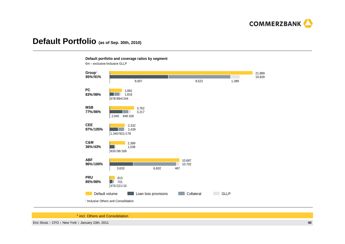

## **Default Portfolio (as of Sep. 30th, 2010)**

**Default portfolio and coverage ratios by segment**

€m – exclusive/inclusive GLLP



<sup>1</sup> incl. Others and Consolidation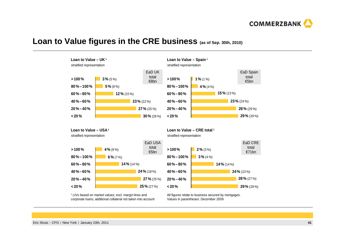

# **Loan to Value figures in the CRE business (as of Sep. 30th, 2010)**



corporate loans; additional collateral not taken into account

Values in parantheses: December 2009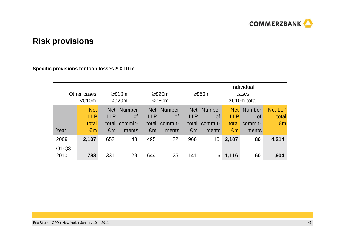

## **Risk provisions**

**Specific provisions for loan losses <sup>≥</sup> € <sup>10</sup> <sup>m</sup>**

|                 | Other cases<br><€10m                              |                                         | ≥€10m<br>$<\epsilon$ 20m                    |                                         | ≥€20m<br><€50m                          |                                         | ≥€50m                                          |                                                   | Individual<br>cases<br>$≥€10m$ total           |                                         |
|-----------------|---------------------------------------------------|-----------------------------------------|---------------------------------------------|-----------------------------------------|-----------------------------------------|-----------------------------------------|------------------------------------------------|---------------------------------------------------|------------------------------------------------|-----------------------------------------|
| Year            | <b>Net</b><br><b>LLP</b><br>total<br>$\epsilon$ m | <b>Net</b><br><b>LLP</b><br>total<br>€m | Number<br><sub>of</sub><br>commit-<br>ments | <b>Net</b><br><b>LLP</b><br>total<br>€m | Number<br><b>of</b><br>commit-<br>ments | <b>Net</b><br><b>LLP</b><br>total<br>€m | <b>Number</b><br><b>of</b><br>commit-<br>ments | <b>Net</b><br><b>LLP</b><br>total<br>$\epsilon$ m | <b>Number</b><br><b>of</b><br>commit-<br>ments | <b>Net LLP</b><br>total<br>$\epsilon$ m |
| 2009            | 2,107                                             | 652                                     | 48                                          | 495                                     | 22                                      | 960                                     | 10                                             | 2,107                                             | 80                                             | 4,214                                   |
| $Q1-Q3$<br>2010 | 788                                               | 331                                     | 29                                          | 644                                     | 25                                      | 141                                     | 6                                              | 1,116                                             | 60                                             | 1,904                                   |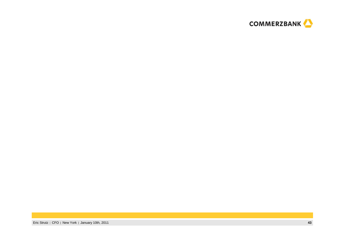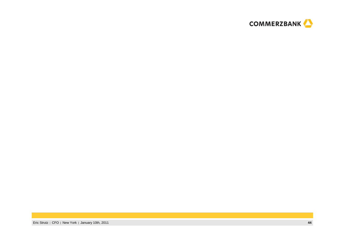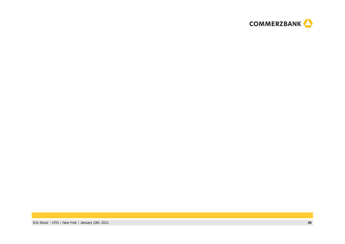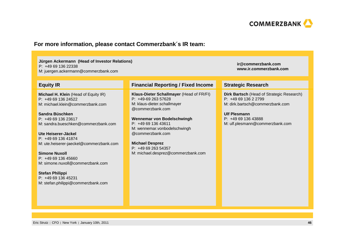

#### **For more information, please contact Commerzbank´s IR team:**

**Jürgen Ackermann (Head of Investor Relations)**

P: +49 69 136 22338

M: juergen.ackermann@commerzbank.com

#### **Equity IR**

**Michael H. Klein** (Head of Equity IR)P: +49 69 136 24522M: michael.klein@commerzbank.com

**Sandra Büschken** P: +49 69 136 23617M: sandra.bueschken@commerzbank.com

**Ute Heiserer-Jäckel** P: +49 69 136 41874M: ute.heiserer-jaeckel@commerzbank.com

**Simone Nuxoll** P: +49 69 136 45660M: simone.nuxoll@commerzbank.com

**Stefan Philippi** P: +49 69 136 45231M: stefan.philippi@commerzbank.com

#### **Financial Reporting / Fixed Income Strategic Research**

**Klaus-Dieter Schallmayer** (Head of FR/FI) P: +49-69 263 57628 M: klaus-dieter.schallmayer@commerzbank.com

**Wennemar von Bodelschwingh**P: +49 69 136 43611 M: wennemar.vonbodelschwingh@commerzbank.com

**Michael Desprez** P: +49 69 263 54357M: michael.desprez@commerzbank.com **ir@commerzbank.comwww.ir.commerzbank.com**

**Dirk Bartsch** (Head of Strategic Research) P: +49 69 136 2 2799 M: dirk.bartsch@commerzbank.com

#### **Ulf Plesmann**

 P: +49 69 136 43888 M: ulf.plesmann@commerzbank.com